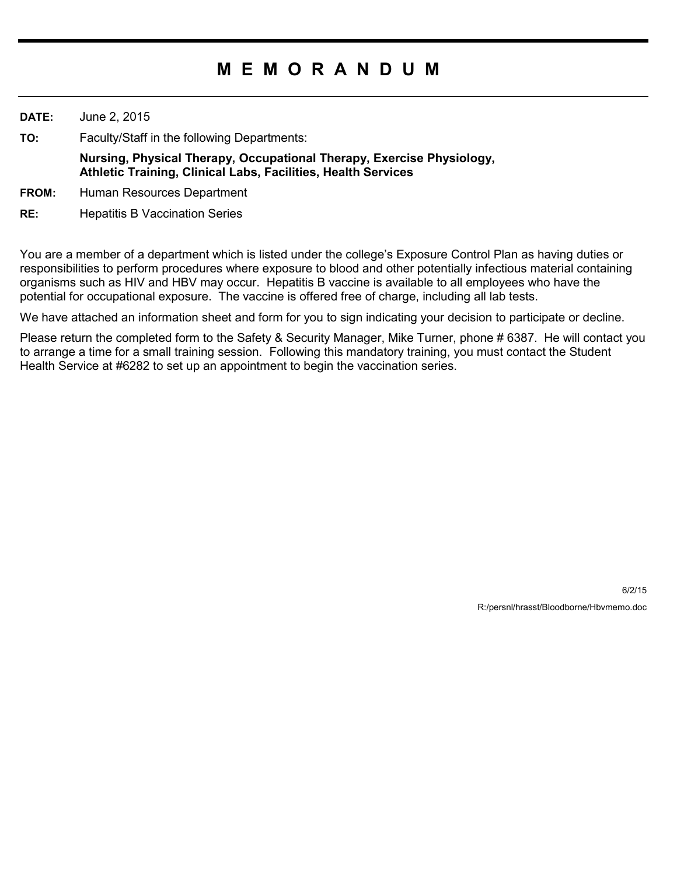## **M E M O R A N D U M**

**DATE:** June 2, 2015

**TO:** Faculty/Staff in the following Departments:

**Nursing, Physical Therapy, Occupational Therapy, Exercise Physiology, Athletic Training, Clinical Labs, Facilities, Health Services**

- **FROM:** Human Resources Department
- **RE:** Hepatitis B Vaccination Series

You are a member of a department which is listed under the college's Exposure Control Plan as having duties or responsibilities to perform procedures where exposure to blood and other potentially infectious material containing organisms such as HIV and HBV may occur. Hepatitis B vaccine is available to all employees who have the potential for occupational exposure. The vaccine is offered free of charge, including all lab tests.

We have attached an information sheet and form for you to sign indicating your decision to participate or decline.

Please return the completed form to the Safety & Security Manager, Mike Turner, phone # 6387. He will contact you to arrange a time for a small training session. Following this mandatory training, you must contact the Student Health Service at #6282 to set up an appointment to begin the vaccination series.

> 6/2/15 R:/persnl/hrasst/Bloodborne/Hbvmemo.doc